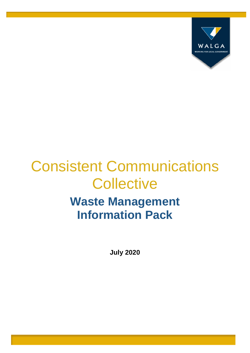

# Consistent Communications **Collective Waste Management Information Pack**

**July 2020**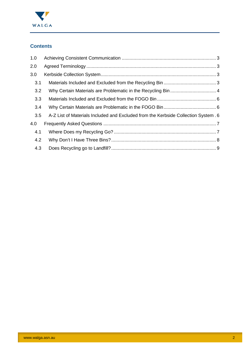

# **Contents**

| 1.0 |                                                                                    |  |
|-----|------------------------------------------------------------------------------------|--|
| 2.0 |                                                                                    |  |
| 3.0 |                                                                                    |  |
| 3.1 |                                                                                    |  |
| 3.2 |                                                                                    |  |
| 3.3 |                                                                                    |  |
| 3.4 |                                                                                    |  |
| 3.5 | A-Z List of Materials Included and Excluded from the Kerbside Collection System. 6 |  |
| 4.0 |                                                                                    |  |
| 4.1 |                                                                                    |  |
| 4.2 |                                                                                    |  |
| 4.3 |                                                                                    |  |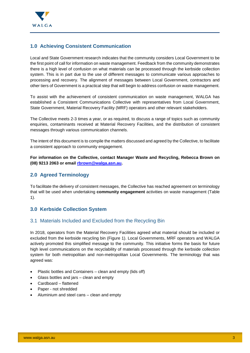

# <span id="page-2-0"></span>**1.0 Achieving Consistent Communication**

Local and State Government research indicates that the community considers Local Government to be the first point of call for information on waste management. Feedback from the community demonstrates there is a high level of confusion on what materials can be processed through the kerbside collection system. This is in part due to the use of different messages to communicate various approaches to processing and recovery. The alignment of messages between Local Government, contractors and other tiers of Government is a practical step that will begin to address confusion on waste management.

To assist with the achievement of consistent communication on waste management, WALGA has established a Consistent Communications Collective with representatives from Local Government, State Government, Material Recovery Facility (MRF) operators and other relevant stakeholders.

The Collective meets 2-3 times a year, or as required, to discuss a range of topics such as community enquiries, contaminants received at Material Recovery Facilities, and the distribution of consistent messages through various communication channels.

The intent of this document is to compile the matters discussed and agreed by the Collective, to facilitate a consistent approach to community engagement.

**For information on the Collective, contact Manager Waste and Recycling, Rebecca Brown on (08) 9213 2063 or email [rbrown@walga.asn.au.](mailto:rbrown@walga.asn.au)** 

# <span id="page-2-1"></span>**2.0 Agreed Terminology**

To facilitate the delivery of consistent messages, the Collective has reached agreement on terminology that will be used when undertaking **community engagement** activities on waste management (Table 1).

## <span id="page-2-2"></span>**3.0 Kerbside Collection System**

## <span id="page-2-3"></span>3.1 Materials Included and Excluded from the Recycling Bin

In 2018, operators from the Material Recovery Facilities agreed what material should be included or excluded from the kerbside recycling bin (Figure 1). Local Governments, MRF operators and WALGA actively promoted this simplified message to the community. This initiative forms the basis for future high level communications on the recyclability of materials processed through the kerbside collection system for both metropolitan and non-metropolitan Local Governments. The terminology that was agreed was:

- Plastic bottles and Containers clean and empty (lids off)
- Glass bottles and jars clean and empty
- Cardboard flattened
- Paper not shredded
- Aluminium and steel cans clean and empty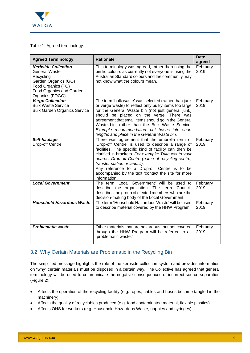

#### Table 1: Agreed terminology.

| <b>Agreed Terminology</b>                                                                                                                                    | <b>Rationale</b>                                                                                                                                                                                                                                                                                                                                                                                                                 | <b>Date</b><br>agreed |
|--------------------------------------------------------------------------------------------------------------------------------------------------------------|----------------------------------------------------------------------------------------------------------------------------------------------------------------------------------------------------------------------------------------------------------------------------------------------------------------------------------------------------------------------------------------------------------------------------------|-----------------------|
| <b>Kerbside Collection</b><br><b>General Waste</b><br>Recycling<br>Garden Organics (GO)<br>Food Organics (FO)<br>Food Organics and Garden<br>Organics (FOGO) | This terminology was agreed, rather than using the<br>bin lid colours as currently not everyone is using the<br>Australian Standard colours and the community may<br>not know what the colours mean.                                                                                                                                                                                                                             | February<br>2019      |
| <b>Verge Collection</b><br><b>Bulk Waste Service</b><br><b>Bulk Garden Organics Service</b>                                                                  | The term 'bulk waste' was selected (rather than junk<br>or verge waste) to reflect only bulky items too large<br>for the General Waste bin (not just general junk)<br>should be placed on the verge. There was<br>agreement that small items should go in the General<br>Waste bin, rather than the Bulk Waste Service.<br>Example recommendation: cut hoses into short<br>lengths and place in the General Waste bin.           | February<br>2019      |
| Self-haulage<br>Drop-off Centre                                                                                                                              | There was agreement that the umbrella term of<br>'Drop-off Centre' is used to describe a range of<br>facilities. The specific kind of facility can then be<br>clarified in brackets. For example: Take xxx to your<br>nearest Drop-off Centre (name of recycling centre,<br>transfer station or landfill).<br>Any reference to a Drop-off Centre is to be<br>accompanied by the text 'contact the site for more<br>information'. | February<br>2019      |
| <b>Local Government</b>                                                                                                                                      | The term 'Local Government' will be used to<br>describe the organisation. The term 'Council'<br>describes the group of elected members who are the<br>decision-making body of the Local Government.                                                                                                                                                                                                                              | February<br>2019      |
| <b>Household Hazardous Waste</b>                                                                                                                             | The term 'Household Hazardous Waste' will be used<br>to describe material covered by the HHW Program.                                                                                                                                                                                                                                                                                                                            | February<br>2019      |
| <b>Problematic waste</b>                                                                                                                                     | Other materials that are hazardous, but not covered<br>through the HHW Program will be referred to as<br>'problematic waste.'                                                                                                                                                                                                                                                                                                    | February<br>2019      |

## <span id="page-3-0"></span>3.2 Why Certain Materials are Problematic in the Recycling Bin

The simplified message highlights the role of the kerbside collection system and provides information on "why" certain materials must be disposed in a certain way. The Collective has agreed that general terminology will be used to communicate the negative consequences of incorrect source separation (Figure 2):

- Affects the operation of the recycling facility (e.g. ropes, cables and hoses become tangled in the machinery)
- Affects the quality of recyclables produced (e.g. food contaminated material, flexible plastics)
- Affects OHS for workers (e.g. Household Hazardous Waste, nappies and syringes).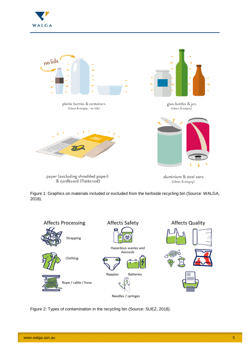



Figure 1: Graphics on materials included or excluded from the kerbside recycling bin (Source: WALGA, 2018).



Figure 2: Types of contamination in the recycling bin (Source: SUEZ, 2018).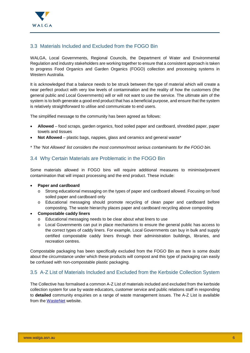

# <span id="page-5-0"></span>3.3 Materials Included and Excluded from the FOGO Bin

WALGA, Local Governments, Regional Councils, the Department of Water and Environmental Regulation and industry stakeholders are working together to ensure that a consistent approach is taken to progress Food Organics and Garden Organics (FOGO) collection and processing systems in Western Australia.

It is acknowledged that a balance needs to be struck between the type of material which will create a near perfect product with very low levels of contamination and the reality of how the customers (the general public and Local Governments) will or will not want to use the service. The ultimate aim of the system is to both generate a good end product that has a beneficial purpose, and ensure that the system is relatively straightforward to utilise and communicate to end users.

The simplified message to the community has been agreed as follows:

- **Allowed** food scraps, garden organics, food soiled paper and cardboard, shredded paper, paper towels and tissues
- **Not Allowed** plastic bags, nappies, glass and ceramics and general waste\*

*\* The 'Not Allowed' list considers the most common/most serious contaminants for the FOGO bin.* 

## <span id="page-5-1"></span>3.4 Why Certain Materials are Problematic in the FOGO Bin

Some materials allowed in FOGO bins will require additional measures to minimise/prevent contamination that will impact processing and the end product. These include:

#### **Paper and cardboard**

- o Strong educational messaging on the types of paper and cardboard allowed. Focusing on food soiled paper and cardboard only
- o Educational messaging should promote recycling of clean paper and cardboard before composting. The waste hierarchy places paper and cardboard recycling above composting
- **Compostable caddy liners** 
	- o Educational messaging needs to be clear about what liners to use
	- o Local Governments can put in place mechanisms to ensure the general public has access to the correct types of caddy liners. For example, Local Governments can buy in bulk and supply certified compostable caddy liners through their administration buildings, libraries, and recreation centres.

Compostable packaging has been specifically excluded from the FOGO Bin as there is some doubt about the circumstance under which these products will compost and this type of packaging can easily be confused with non-compostable plastic packaging.

## <span id="page-5-2"></span>3.5 A-Z List of Materials Included and Excluded from the Kerbside Collection System

The Collective has formalised a common A-Z List of materials included and excluded from the kerbside collection system for use by waste educators, customer service and public relations staff in responding to **detailed** community enquiries on a range of waste management issues. The A-Z List is available from the [WasteNet](https://www.wastenet.net.au/ccc.aspx) website.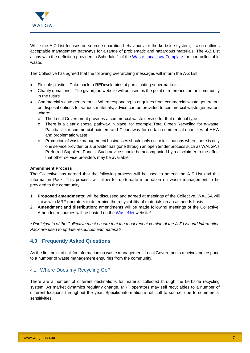

While the A-Z List focuses on source separation behaviours for the kerbside system, it also outlines acceptable management pathways for a range of problematic and hazardous materials. The A-Z List aligns with the definition provided in Schedule 1 of the [Waste Local Law Template](https://www.wastenet.net.au/waste-local-law.aspx) for 'non-collectable waste.'

The Collective has agreed that the following overarching messages will inform the A-Z List:

- Flexible plastic Take back to REDcycle bins at participating supermarkets
- Charity donations The giv.org.au website will be used as the point of reference for the community in the future
- Commercial waste generators When responding to enquiries from commercial waste generators on disposal options for various materials, advice can be provided to commercial waste generators where:
	- o The Local Government provides a commercial waste service for that material type
	- o There is a clear disposal pathway in place, for example Total Green Recycling for e-waste, Paintback for commercial painters and Cleanaway for certain commercial quantities of HHW and problematic waste
	- o Promotion of waste management businesses should only occur in situations where there is only one service provider, or a provider has gone through an open tender process such as WALGA's Preferred Suppliers Panels. Such advice should be accompanied by a disclaimer to the effect that other service providers may be available.

#### **Amendment Process**

The Collective has agreed that the following process will be used to amend the A-Z List and this Information Pack. This process will allow for up-to-date information on waste management to be provided to the community:

- 1. **Proposed amendments:** will be discussed and agreed at meetings of the Collective. WALGA will liaise with MRF operators to determine the recyclability of materials on an as needs basis
- 2. **Amendment and distribution:** amendments will be made following meetings of the Collective. Amended resources will be hosted on the [WasteNet](https://www.wastenet.net.au/ccc.aspx) website\*.

*\* Participants of the Collective must ensure that the most recent version of the A-Z List and Information Pack are used to update resources and materials.* 

## <span id="page-6-0"></span>**4.0 Frequently Asked Questions**

As the first point of call for information on waste management, Local Governments receive and respond to a number of waste management enquiries from the community.

## <span id="page-6-1"></span>4.1 Where Does my Recycling Go?

There are a number of different destinations for material collected through the kerbside recycling system. As market dynamics regularly change, MRF operators may sell recyclables to a number of different locations throughout the year. Specific information is difficult to source, due to commercial sensitivities.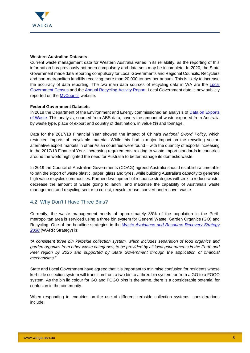

#### **Western Australian Datasets**

Current waste management data for Western Australia varies in its reliability, as the reporting of this information has previously not been compulsory and data sets may be incomplete. In 2020, the State Government made data reporting compulsory for Local Governments and Regional Councils, Recyclers and non-metropolitan landfills receiving more than 20,000 tonnes per annum. This is likely to increase the accuracy of data reporting. The two main data sources of recycling data in WA are the [Local](http://www.wasteauthority.wa.gov.au/programs/data/lg-census/)  [Government Census](http://www.wasteauthority.wa.gov.au/programs/data/lg-census/) and the [Annual Recycling Activity Report.](http://www.wasteauthority.wa.gov.au/programs/data/recycling-activity-review/) Local Government data is now publicly reported on the [MyCouncil](https://mycouncil.wa.gov.au/Council/CompareCouncil) website.

#### **Federal Government Datasets**

In 2018 the Department of the Environment and Energy commissioned an analysis of Data on Exports [of Waste.](http://www.environment.gov.au/protection/waste-resource-recovery/publications/annual-summary-exports-data-australian-wastes-2018) This analysis, sourced from ABS data, covers the amount of waste exported from Australia by waste type, place of export and country of destination, in value (\$) and tonnage.

Data for the 2017/18 Financial Year showed the impact of China's *National Sword Policy*, which restricted imports of recyclable material. While this had a major impact on the recycling sector, alternative export markets in other Asian countries were found – with the quantity of exports increasing in the 2017/18 Financial Year. Increasing requirements relating to waste import standards in countries around the world highlighted the need for Australia to better manage its domestic waste.

In 2019 the Council of Australian Governments (COAG) agreed Australia should establish a timetable to ban the export of waste plastic, paper, glass and tyres, while building Australia's capacity to generate high value recycled commodities. Further development of response strategies will seek to reduce waste, decrease the amount of waste going to landfill and maximise the capability of Australia's waste management and recycling sector to collect, recycle, reuse, convert and recover waste.

## <span id="page-7-0"></span>4.2 Why Don't I Have Three Bins?

Currently, the waste management needs of approximately 35% of the population in the Perth metropolitan area is serviced using a three bin system for General Waste, Garden Organics (GO) and Recycling. One of the headline strategies in the *[Waste Avoidance and Resource Recovery Strategy](http://www.wasteauthority.wa.gov.au/about/waste-strategy)  [2030](http://www.wasteauthority.wa.gov.au/about/waste-strategy)* (WARR Strategy) is:

*"A consistent three bin kerbside collection system, which includes separation of food organics and garden organics from other waste categories, to be provided by all local governments in the Perth and Peel region by 2025 and supported by State Government through the application of financial mechanisms."* 

State and Local Government have agreed that it is important to minimise confusion for residents whose kerbside collection system will transition from a two bin to a three bin system, or from a GO to a FOGO system. As the bin lid colour for GO and FOGO bins is the same, there is a considerable potential for confusion in the community.

When responding to enquiries on the use of different kerbside collection systems, considerations include: